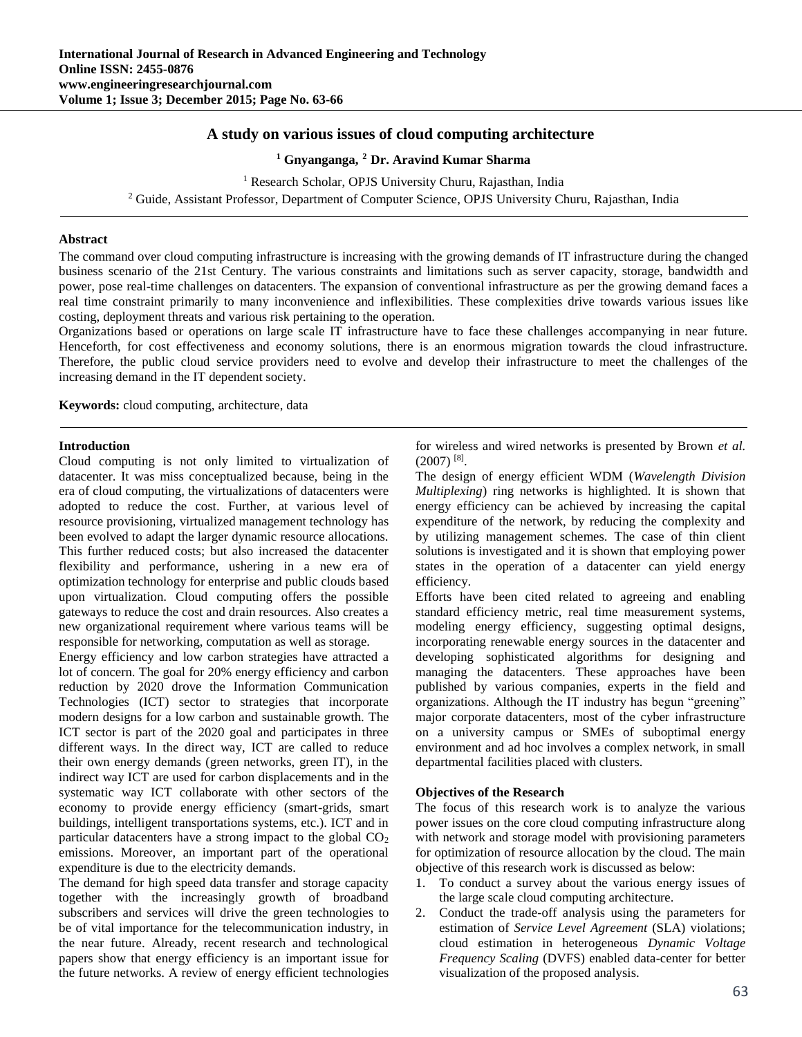# **A study on various issues of cloud computing architecture**

**<sup>1</sup> Gnyanganga, <sup>2</sup> Dr. Aravind Kumar Sharma**

<sup>1</sup> Research Scholar, OPJS University Churu, Rajasthan, India <sup>2</sup> Guide, Assistant Professor, Department of Computer Science, OPJS University Churu, Rajasthan, India

### **Abstract**

The command over cloud computing infrastructure is increasing with the growing demands of IT infrastructure during the changed business scenario of the 21st Century. The various constraints and limitations such as server capacity, storage, bandwidth and power, pose real-time challenges on datacenters. The expansion of conventional infrastructure as per the growing demand faces a real time constraint primarily to many inconvenience and inflexibilities. These complexities drive towards various issues like costing, deployment threats and various risk pertaining to the operation.

Organizations based or operations on large scale IT infrastructure have to face these challenges accompanying in near future. Henceforth, for cost effectiveness and economy solutions, there is an enormous migration towards the cloud infrastructure. Therefore, the public cloud service providers need to evolve and develop their infrastructure to meet the challenges of the increasing demand in the IT dependent society.

**Keywords:** cloud computing, architecture, data

## **Introduction**

Cloud computing is not only limited to virtualization of datacenter. It was miss conceptualized because, being in the era of cloud computing, the virtualizations of datacenters were adopted to reduce the cost. Further, at various level of resource provisioning, virtualized management technology has been evolved to adapt the larger dynamic resource allocations. This further reduced costs; but also increased the datacenter flexibility and performance, ushering in a new era of optimization technology for enterprise and public clouds based upon virtualization. Cloud computing offers the possible gateways to reduce the cost and drain resources. Also creates a new organizational requirement where various teams will be responsible for networking, computation as well as storage.

Energy efficiency and low carbon strategies have attracted a lot of concern. The goal for 20% energy efficiency and carbon reduction by 2020 drove the Information Communication Technologies (ICT) sector to strategies that incorporate modern designs for a low carbon and sustainable growth. The ICT sector is part of the 2020 goal and participates in three different ways. In the direct way, ICT are called to reduce their own energy demands (green networks, green IT), in the indirect way ICT are used for carbon displacements and in the systematic way ICT collaborate with other sectors of the economy to provide energy efficiency (smart-grids, smart buildings, intelligent transportations systems, etc.). ICT and in particular datacenters have a strong impact to the global  $CO<sub>2</sub>$ emissions. Moreover, an important part of the operational expenditure is due to the electricity demands.

The demand for high speed data transfer and storage capacity together with the increasingly growth of broadband subscribers and services will drive the green technologies to be of vital importance for the telecommunication industry, in the near future. Already, recent research and technological papers show that energy efficiency is an important issue for the future networks. A review of energy efficient technologies for wireless and wired networks is presented by Brown *et al.*  $(2007)^{8}$ .

The design of energy efficient WDM (*Wavelength Division Multiplexing*) ring networks is highlighted. It is shown that energy efficiency can be achieved by increasing the capital expenditure of the network, by reducing the complexity and by utilizing management schemes. The case of thin client solutions is investigated and it is shown that employing power states in the operation of a datacenter can yield energy efficiency.

Efforts have been cited related to agreeing and enabling standard efficiency metric, real time measurement systems, modeling energy efficiency, suggesting optimal designs, incorporating renewable energy sources in the datacenter and developing sophisticated algorithms for designing and managing the datacenters. These approaches have been published by various companies, experts in the field and organizations. Although the IT industry has begun "greening" major corporate datacenters, most of the cyber infrastructure on a university campus or SMEs of suboptimal energy environment and ad hoc involves a complex network, in small departmental facilities placed with clusters.

### **Objectives of the Research**

The focus of this research work is to analyze the various power issues on the core cloud computing infrastructure along with network and storage model with provisioning parameters for optimization of resource allocation by the cloud. The main objective of this research work is discussed as below:

- 1. To conduct a survey about the various energy issues of the large scale cloud computing architecture.
- 2. Conduct the trade-off analysis using the parameters for estimation of *Service Level Agreement* (SLA) violations; cloud estimation in heterogeneous *Dynamic Voltage Frequency Scaling* (DVFS) enabled data-center for better visualization of the proposed analysis.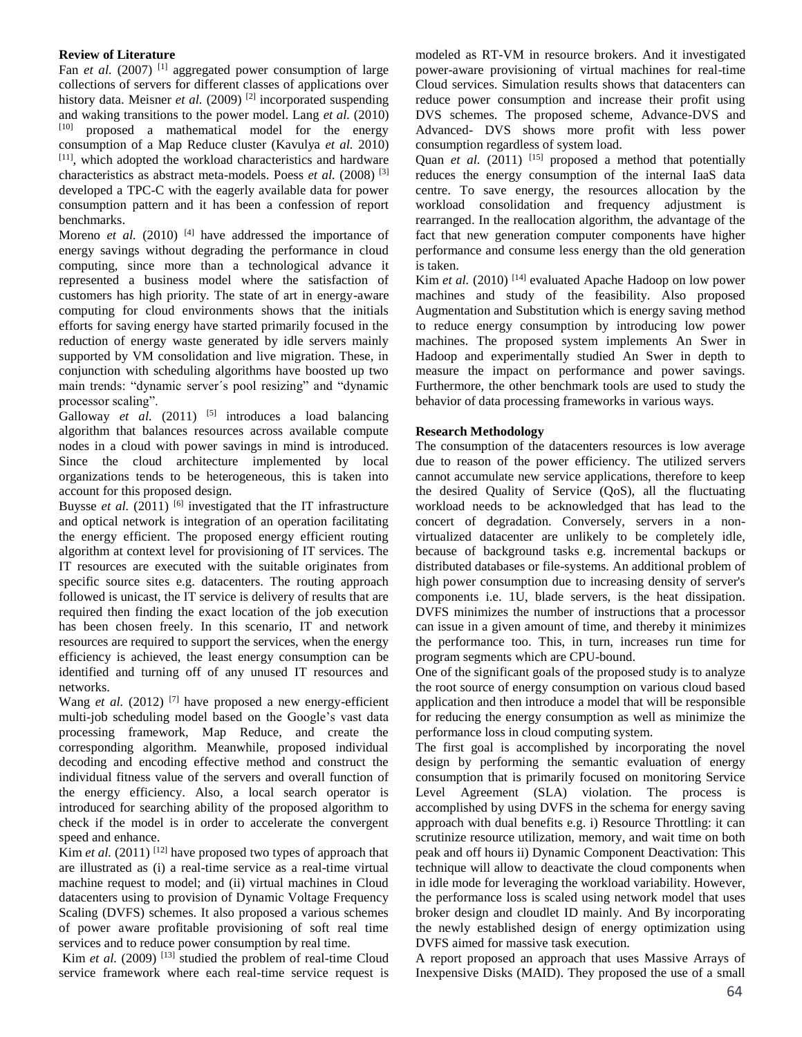# **Review of Literature**

Fan *et al.* (2007)<sup>[1]</sup> aggregated power consumption of large collections of servers for different classes of applications over history data. Meisner *et al.* (2009)<sup>[2]</sup> incorporated suspending and waking transitions to the power model. Lang *et al.* (2010) [10] proposed a mathematical model for the energy consumption of a Map Reduce cluster (Kavulya *et al.* 2010) [11], which adopted the workload characteristics and hardware characteristics as abstract meta-models. Poess *et al.* (2008) [3] developed a TPC-C with the eagerly available data for power consumption pattern and it has been a confession of report benchmarks.

Moreno *et al.* (2010)  $[4]$  have addressed the importance of energy savings without degrading the performance in cloud computing, since more than a technological advance it represented a business model where the satisfaction of customers has high priority. The state of art in energy-aware computing for cloud environments shows that the initials efforts for saving energy have started primarily focused in the reduction of energy waste generated by idle servers mainly supported by VM consolidation and live migration. These, in conjunction with scheduling algorithms have boosted up two main trends: "dynamic server´s pool resizing" and "dynamic processor scaling".

Galloway *et al.*  $(2011)$  <sup>[5]</sup> introduces a load balancing algorithm that balances resources across available compute nodes in a cloud with power savings in mind is introduced. Since the cloud architecture implemented by local organizations tends to be heterogeneous, this is taken into account for this proposed design.

Buysse *et al.*  $(2011)$  <sup>[6]</sup> investigated that the IT infrastructure and optical network is integration of an operation facilitating the energy efficient. The proposed energy efficient routing algorithm at context level for provisioning of IT services. The IT resources are executed with the suitable originates from specific source sites e.g. datacenters. The routing approach followed is unicast, the IT service is delivery of results that are required then finding the exact location of the job execution has been chosen freely. In this scenario, IT and network resources are required to support the services, when the energy efficiency is achieved, the least energy consumption can be identified and turning off of any unused IT resources and networks.

Wang *et al.* (2012)<sup>[7]</sup> have proposed a new energy-efficient multi-job scheduling model based on the Google's vast data processing framework, Map Reduce, and create the corresponding algorithm. Meanwhile, proposed individual decoding and encoding effective method and construct the individual fitness value of the servers and overall function of the energy efficiency. Also, a local search operator is introduced for searching ability of the proposed algorithm to check if the model is in order to accelerate the convergent speed and enhance.

Kim *et al.* (2011)<sup>[12]</sup> have proposed two types of approach that are illustrated as (i) a real-time service as a real-time virtual machine request to model; and (ii) virtual machines in Cloud datacenters using to provision of Dynamic Voltage Frequency Scaling (DVFS) schemes. It also proposed a various schemes of power aware profitable provisioning of soft real time services and to reduce power consumption by real time.

Kim *et al.* (2009)<sup>[13]</sup> studied the problem of real-time Cloud service framework where each real-time service request is modeled as RT-VM in resource brokers. And it investigated power-aware provisioning of virtual machines for real-time Cloud services. Simulation results shows that datacenters can reduce power consumption and increase their profit using DVS schemes. The proposed scheme, Advance-DVS and Advanced- DVS shows more profit with less power consumption regardless of system load.

Quan *et al.* (2011) <sup>[15]</sup> proposed a method that potentially reduces the energy consumption of the internal IaaS data centre. To save energy, the resources allocation by the workload consolidation and frequency adjustment is rearranged. In the reallocation algorithm, the advantage of the fact that new generation computer components have higher performance and consume less energy than the old generation is taken.

Kim et al. (2010)<sup>[14]</sup> evaluated Apache Hadoop on low power machines and study of the feasibility. Also proposed Augmentation and Substitution which is energy saving method to reduce energy consumption by introducing low power machines. The proposed system implements An Swer in Hadoop and experimentally studied An Swer in depth to measure the impact on performance and power savings. Furthermore, the other benchmark tools are used to study the behavior of data processing frameworks in various ways.

# **Research Methodology**

The consumption of the datacenters resources is low average due to reason of the power efficiency. The utilized servers cannot accumulate new service applications, therefore to keep the desired Quality of Service (QoS), all the fluctuating workload needs to be acknowledged that has lead to the concert of degradation. Conversely, servers in a nonvirtualized datacenter are unlikely to be completely idle, because of background tasks e.g. incremental backups or distributed databases or file-systems. An additional problem of high power consumption due to increasing density of server's components i.e. 1U, blade servers, is the heat dissipation. DVFS minimizes the number of instructions that a processor can issue in a given amount of time, and thereby it minimizes the performance too. This, in turn, increases run time for program segments which are CPU-bound.

One of the significant goals of the proposed study is to analyze the root source of energy consumption on various cloud based application and then introduce a model that will be responsible for reducing the energy consumption as well as minimize the performance loss in cloud computing system.

The first goal is accomplished by incorporating the novel design by performing the semantic evaluation of energy consumption that is primarily focused on monitoring Service Level Agreement (SLA) violation. The process is accomplished by using DVFS in the schema for energy saving approach with dual benefits e.g. i) Resource Throttling: it can scrutinize resource utilization, memory, and wait time on both peak and off hours ii) Dynamic Component Deactivation: This technique will allow to deactivate the cloud components when in idle mode for leveraging the workload variability. However, the performance loss is scaled using network model that uses broker design and cloudlet ID mainly. And By incorporating the newly established design of energy optimization using DVFS aimed for massive task execution.

A report proposed an approach that uses Massive Arrays of Inexpensive Disks (MAID). They proposed the use of a small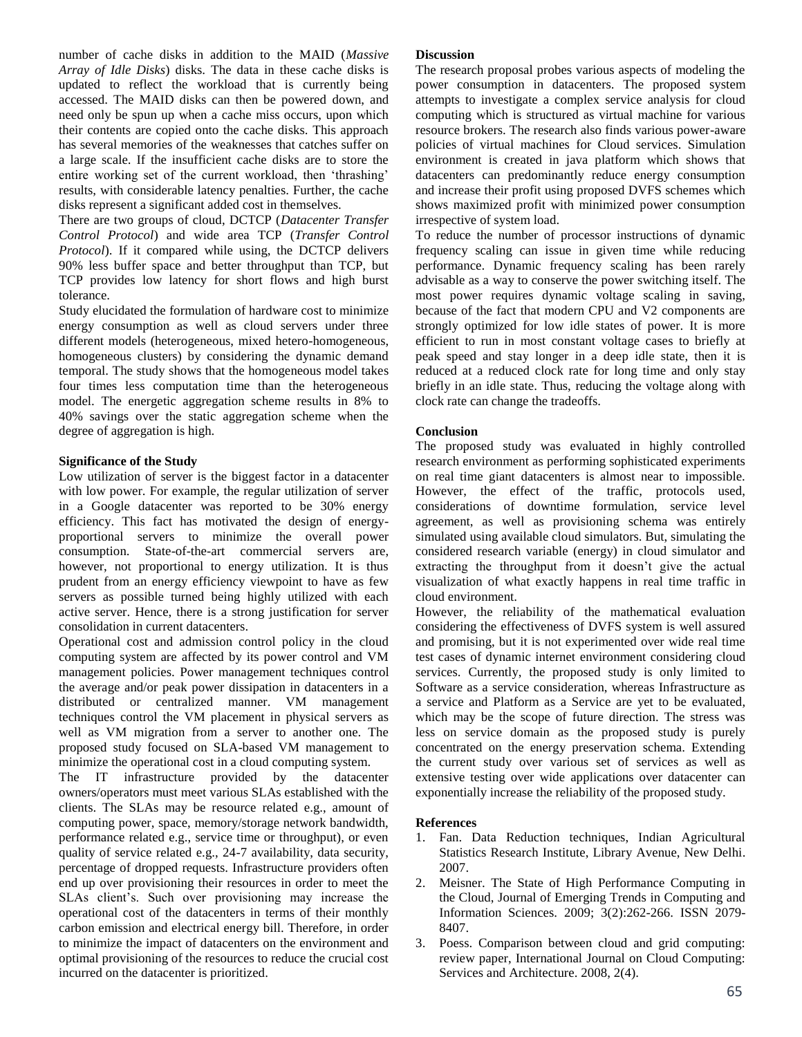number of cache disks in addition to the MAID (*Massive Array of Idle Disks*) disks. The data in these cache disks is updated to reflect the workload that is currently being accessed. The MAID disks can then be powered down, and need only be spun up when a cache miss occurs, upon which their contents are copied onto the cache disks. This approach has several memories of the weaknesses that catches suffer on a large scale. If the insufficient cache disks are to store the entire working set of the current workload, then 'thrashing' results, with considerable latency penalties. Further, the cache disks represent a significant added cost in themselves.

There are two groups of cloud, DCTCP (*Datacenter Transfer Control Protocol*) and wide area TCP (*Transfer Control Protocol*). If it compared while using, the DCTCP delivers 90% less buffer space and better throughput than TCP, but TCP provides low latency for short flows and high burst tolerance.

Study elucidated the formulation of hardware cost to minimize energy consumption as well as cloud servers under three different models (heterogeneous, mixed hetero-homogeneous, homogeneous clusters) by considering the dynamic demand temporal. The study shows that the homogeneous model takes four times less computation time than the heterogeneous model. The energetic aggregation scheme results in 8% to 40% savings over the static aggregation scheme when the degree of aggregation is high.

# **Significance of the Study**

Low utilization of server is the biggest factor in a datacenter with low power. For example, the regular utilization of server in a Google datacenter was reported to be 30% energy efficiency. This fact has motivated the design of energyproportional servers to minimize the overall power consumption. State-of-the-art commercial servers are, however, not proportional to energy utilization. It is thus prudent from an energy efficiency viewpoint to have as few servers as possible turned being highly utilized with each active server. Hence, there is a strong justification for server consolidation in current datacenters.

Operational cost and admission control policy in the cloud computing system are affected by its power control and VM management policies. Power management techniques control the average and/or peak power dissipation in datacenters in a distributed or centralized manner. VM management techniques control the VM placement in physical servers as well as VM migration from a server to another one. The proposed study focused on SLA-based VM management to minimize the operational cost in a cloud computing system.

The IT infrastructure provided by the datacenter owners/operators must meet various SLAs established with the clients. The SLAs may be resource related e.g., amount of computing power, space, memory/storage network bandwidth, performance related e.g., service time or throughput), or even quality of service related e.g., 24-7 availability, data security, percentage of dropped requests. Infrastructure providers often end up over provisioning their resources in order to meet the SLAs client's. Such over provisioning may increase the operational cost of the datacenters in terms of their monthly carbon emission and electrical energy bill. Therefore, in order to minimize the impact of datacenters on the environment and optimal provisioning of the resources to reduce the crucial cost incurred on the datacenter is prioritized.

#### **Discussion**

The research proposal probes various aspects of modeling the power consumption in datacenters. The proposed system attempts to investigate a complex service analysis for cloud computing which is structured as virtual machine for various resource brokers. The research also finds various power-aware policies of virtual machines for Cloud services. Simulation environment is created in java platform which shows that datacenters can predominantly reduce energy consumption and increase their profit using proposed DVFS schemes which shows maximized profit with minimized power consumption irrespective of system load.

To reduce the number of processor instructions of dynamic frequency scaling can issue in given time while reducing performance. Dynamic frequency scaling has been rarely advisable as a way to conserve the power switching itself. The most power requires dynamic voltage scaling in saving, because of the fact that modern CPU and V2 components are strongly optimized for low idle states of power. It is more efficient to run in most constant voltage cases to briefly at peak speed and stay longer in a deep idle state, then it is reduced at a reduced clock rate for long time and only stay briefly in an idle state. Thus, reducing the voltage along with clock rate can change the tradeoffs.

## **Conclusion**

The proposed study was evaluated in highly controlled research environment as performing sophisticated experiments on real time giant datacenters is almost near to impossible. However, the effect of the traffic, protocols used, considerations of downtime formulation, service level agreement, as well as provisioning schema was entirely simulated using available cloud simulators. But, simulating the considered research variable (energy) in cloud simulator and extracting the throughput from it doesn't give the actual visualization of what exactly happens in real time traffic in cloud environment.

However, the reliability of the mathematical evaluation considering the effectiveness of DVFS system is well assured and promising, but it is not experimented over wide real time test cases of dynamic internet environment considering cloud services. Currently, the proposed study is only limited to Software as a service consideration, whereas Infrastructure as a service and Platform as a Service are yet to be evaluated, which may be the scope of future direction. The stress was less on service domain as the proposed study is purely concentrated on the energy preservation schema. Extending the current study over various set of services as well as extensive testing over wide applications over datacenter can exponentially increase the reliability of the proposed study.

#### **References**

- 1. Fan. Data Reduction techniques, Indian Agricultural Statistics Research Institute, Library Avenue, New Delhi. 2007.
- 2. Meisner. The State of High Performance Computing in the Cloud, Journal of Emerging Trends in Computing and Information Sciences. 2009; 3(2):262-266. ISSN 2079- 8407.
- 3. Poess. Comparison between cloud and grid computing: review paper, International Journal on Cloud Computing: Services and Architecture. 2008, 2(4).